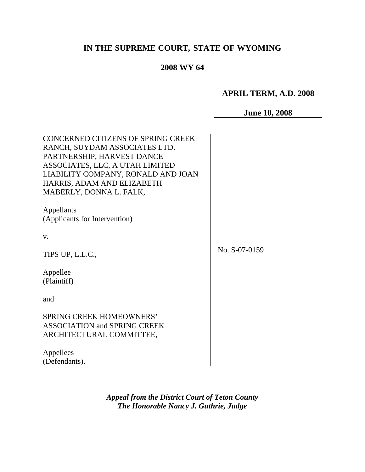# **IN THE SUPREME COURT, STATE OF WYOMING**

## **2008 WY 64**

# **APRIL TERM, A.D. 2008**

# **June 10, 2008**

| CONCERNED CITIZENS OF SPRING CREEK<br>RANCH, SUYDAM ASSOCIATES LTD.<br>PARTNERSHIP, HARVEST DANCE<br>ASSOCIATES, LLC, A UTAH LIMITED<br>LIABILITY COMPANY, RONALD AND JOAN<br>HARRIS, ADAM AND ELIZABETH<br>MABERLY, DONNA L. FALK, |               |
|-------------------------------------------------------------------------------------------------------------------------------------------------------------------------------------------------------------------------------------|---------------|
| Appellants<br>(Applicants for Intervention)                                                                                                                                                                                         |               |
| V.                                                                                                                                                                                                                                  |               |
| TIPS UP, L.L.C.,                                                                                                                                                                                                                    | No. S-07-0159 |
| Appellee<br>(Plaintiff)                                                                                                                                                                                                             |               |
| and                                                                                                                                                                                                                                 |               |
| <b>SPRING CREEK HOMEOWNERS'</b><br><b>ASSOCIATION and SPRING CREEK</b><br>ARCHITECTURAL COMMITTEE,                                                                                                                                  |               |
| Appellees<br>(Defendants).                                                                                                                                                                                                          |               |

*Appeal from the District Court of Teton County The Honorable Nancy J. Guthrie, Judge*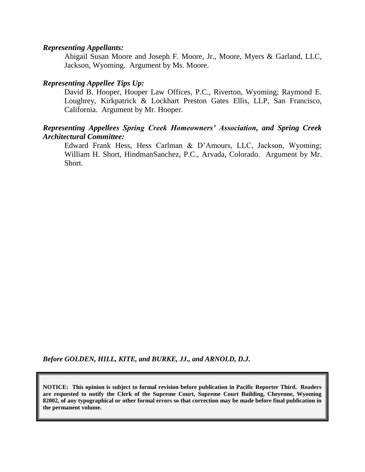#### *Representing Appellants:*

Abigail Susan Moore and Joseph F. Moore, Jr., Moore, Myers & Garland, LLC, Jackson, Wyoming. Argument by Ms. Moore.

#### *Representing Appellee Tips Up:*

David B. Hooper, Hooper Law Offices, P.C., Riverton, Wyoming; Raymond E. Loughrey, Kirkpatrick & Lockhart Preston Gates Ellis, LLP, San Francisco, California. Argument by Mr. Hooper.

#### *Representing Appellees Spring Creek Homeowners' Association, and Spring Creek Architectural Committee:*

Edward Frank Hess, Hess Carlman & D'Amours, LLC, Jackson, Wyoming; William H. Short, HindmanSanchez, P.C., Arvada, Colorado. Argument by Mr. Short.

*Before GOLDEN, HILL, KITE, and BURKE, JJ., and ARNOLD, D.J.*

**NOTICE: This opinion is subject to formal revision before publication in Pacific Reporter Third. Readers are requested to notify the Clerk of the Supreme Court, Supreme Court Building, Cheyenne, Wyoming 82002, of any typographical or other formal errors so that correction may be made before final publication in the permanent volume.**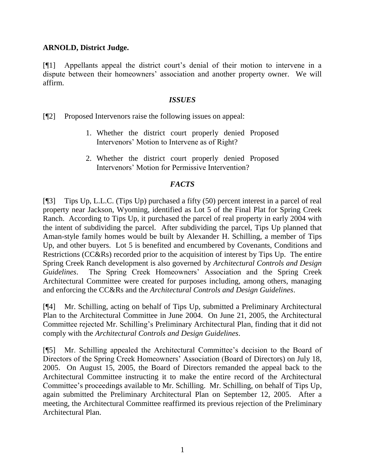#### **ARNOLD, District Judge.**

[¶1] Appellants appeal the district court's denial of their motion to intervene in a dispute between their homeowners' association and another property owner. We will affirm.

#### *ISSUES*

[¶2] Proposed Intervenors raise the following issues on appeal:

- 1. Whether the district court properly denied Proposed Intervenors' Motion to Intervene as of Right?
- 2. Whether the district court properly denied Proposed Intervenors' Motion for Permissive Intervention?

#### *FACTS*

[¶3] Tips Up, L.L.C. (Tips Up) purchased a fifty (50) percent interest in a parcel of real property near Jackson, Wyoming, identified as Lot 5 of the Final Plat for Spring Creek Ranch. According to Tips Up, it purchased the parcel of real property in early 2004 with the intent of subdividing the parcel. After subdividing the parcel, Tips Up planned that Aman-style family homes would be built by Alexander H. Schilling, a member of Tips Up, and other buyers. Lot 5 is benefited and encumbered by Covenants, Conditions and Restrictions (CC&Rs) recorded prior to the acquisition of interest by Tips Up. The entire Spring Creek Ranch development is also governed by *Architectural Controls and Design Guidelines*. The Spring Creek Homeowners' Association and the Spring Creek Architectural Committee were created for purposes including, among others, managing and enforcing the CC&Rs and the *Architectural Controls and Design Guidelines*.

[¶4] Mr. Schilling, acting on behalf of Tips Up, submitted a Preliminary Architectural Plan to the Architectural Committee in June 2004. On June 21, 2005, the Architectural Committee rejected Mr. Schilling's Preliminary Architectural Plan, finding that it did not comply with the *Architectural Controls and Design Guidelines*.

[¶5] Mr. Schilling appealed the Architectural Committee's decision to the Board of Directors of the Spring Creek Homeowners' Association (Board of Directors) on July 18, 2005. On August 15, 2005, the Board of Directors remanded the appeal back to the Architectural Committee instructing it to make the entire record of the Architectural Committee's proceedings available to Mr. Schilling. Mr. Schilling, on behalf of Tips Up, again submitted the Preliminary Architectural Plan on September 12, 2005. After a meeting, the Architectural Committee reaffirmed its previous rejection of the Preliminary Architectural Plan.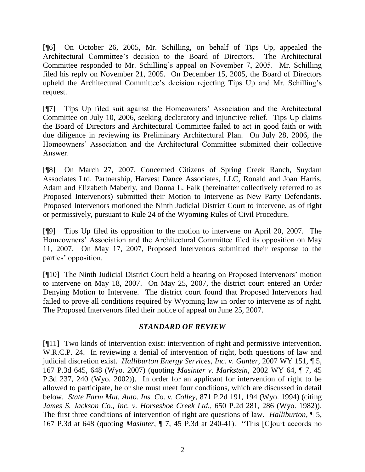[¶6] On October 26, 2005, Mr. Schilling, on behalf of Tips Up, appealed the Architectural Committee's decision to the Board of Directors. The Architectural Committee responded to Mr. Schilling's appeal on November 7, 2005. Mr. Schilling filed his reply on November 21, 2005. On December 15, 2005, the Board of Directors upheld the Architectural Committee's decision rejecting Tips Up and Mr. Schilling's request.

[¶7] Tips Up filed suit against the Homeowners' Association and the Architectural Committee on July 10, 2006, seeking declaratory and injunctive relief. Tips Up claims the Board of Directors and Architectural Committee failed to act in good faith or with due diligence in reviewing its Preliminary Architectural Plan. On July 28, 2006, the Homeowners' Association and the Architectural Committee submitted their collective Answer.

[¶8] On March 27, 2007, Concerned Citizens of Spring Creek Ranch, Suydam Associates Ltd. Partnership, Harvest Dance Associates, LLC, Ronald and Joan Harris, Adam and Elizabeth Maberly, and Donna L. Falk (hereinafter collectively referred to as Proposed Intervenors) submitted their Motion to Intervene as New Party Defendants. Proposed Intervenors motioned the Ninth Judicial District Court to intervene, as of right or permissively, pursuant to Rule 24 of the Wyoming Rules of Civil Procedure.

[¶9] Tips Up filed its opposition to the motion to intervene on April 20, 2007. The Homeowners' Association and the Architectural Committee filed its opposition on May 11, 2007. On May 17, 2007, Proposed Intervenors submitted their response to the parties' opposition.

[¶10] The Ninth Judicial District Court held a hearing on Proposed Intervenors' motion to intervene on May 18, 2007. On May 25, 2007, the district court entered an Order Denying Motion to Intervene. The district court found that Proposed Intervenors had failed to prove all conditions required by Wyoming law in order to intervene as of right. The Proposed Intervenors filed their notice of appeal on June 25, 2007.

#### *STANDARD OF REVIEW*

[¶11] Two kinds of intervention exist: intervention of right and permissive intervention. W.R.C.P. 24. In reviewing a denial of intervention of right, both questions of law and judicial discretion exist. *Halliburton Energy Services, Inc. v. Gunter*, 2007 WY 151, ¶ 5, 167 P.3d 645, 648 (Wyo. 2007) (quoting *Masinter v. Markstein*, 2002 WY 64, ¶ 7, 45 P.3d 237, 240 (Wyo. 2002)). In order for an applicant for intervention of right to be allowed to participate, he or she must meet four conditions, which are discussed in detail below. *State Farm Mut. Auto. Ins. Co. v. Colley*, 871 P.2d 191, 194 (Wyo. 1994) (citing *James S. Jackson Co., Inc. v. Horseshoe Creek Ltd.*, 650 P.2d 281, 286 (Wyo. 1982)). The first three conditions of intervention of right are questions of law. *Halliburton*, ¶ 5, 167 P.3d at 648 (quoting *Masinter*, ¶ 7, 45 P.3d at 240-41). "This [C]ourt accords no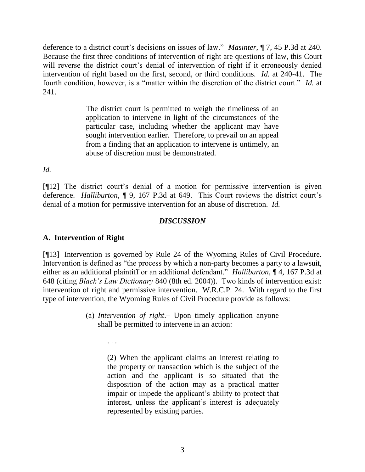deference to a district court's decisions on issues of law." *Masinter*, ¶ 7, 45 P.3d at 240. Because the first three conditions of intervention of right are questions of law, this Court will reverse the district court's denial of intervention of right if it erroneously denied intervention of right based on the first, second, or third conditions. *Id.* at 240-41. The fourth condition, however, is a "matter within the discretion of the district court." *Id.* at 241.

> The district court is permitted to weigh the timeliness of an application to intervene in light of the circumstances of the particular case, including whether the applicant may have sought intervention earlier. Therefore, to prevail on an appeal from a finding that an application to intervene is untimely, an abuse of discretion must be demonstrated.

*Id.*

[¶12] The district court's denial of a motion for permissive intervention is given deference. *Halliburton*, ¶ 9, 167 P.3d at 649. This Court reviews the district court's denial of a motion for permissive intervention for an abuse of discretion. *Id.*

#### *DISCUSSION*

## **A. Intervention of Right**

. . .

[¶13] Intervention is governed by Rule 24 of the Wyoming Rules of Civil Procedure. Intervention is defined as "the process by which a non-party becomes a party to a lawsuit, either as an additional plaintiff or an additional defendant." *Halliburton*, ¶ 4, 167 P.3d at 648 (citing *Black's Law Dictionary* 840 (8th ed. 2004)). Two kinds of intervention exist: intervention of right and permissive intervention. W.R.C.P. 24. With regard to the first type of intervention, the Wyoming Rules of Civil Procedure provide as follows:

> (a) *Intervention of right*.– Upon timely application anyone shall be permitted to intervene in an action:

> > (2) When the applicant claims an interest relating to the property or transaction which is the subject of the action and the applicant is so situated that the disposition of the action may as a practical matter impair or impede the applicant's ability to protect that interest, unless the applicant's interest is adequately represented by existing parties.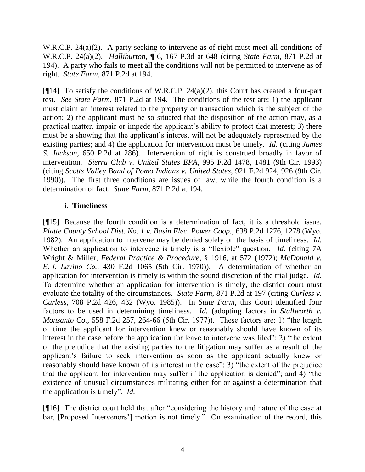W.R.C.P. 24(a)(2). A party seeking to intervene as of right must meet all conditions of W.R.C.P. 24(a)(2). *Halliburton*, ¶ 6, 167 P.3d at 648 (citing *State Farm*, 871 P.2d at 194). A party who fails to meet all the conditions will not be permitted to intervene as of right. *State Farm*, 871 P.2d at 194.

[ $[14]$ ] To satisfy the conditions of W.R.C.P. 24(a)(2), this Court has created a four-part test. *See State Farm*, 871 P.2d at 194. The conditions of the test are: 1) the applicant must claim an interest related to the property or transaction which is the subject of the action; 2) the applicant must be so situated that the disposition of the action may, as a practical matter, impair or impede the applicant's ability to protect that interest; 3) there must be a showing that the applicant's interest will not be adequately represented by the existing parties; and 4) the application for intervention must be timely. *Id.* (citing *James S. Jackson*, 650 P.2d at 286). Intervention of right is construed broadly in favor of intervention. *Sierra Club v. United States EPA*, 995 F.2d 1478, 1481 (9th Cir. 1993) (citing *Scotts Valley Band of Pomo Indians v. United States*, 921 F.2d 924, 926 (9th Cir. 1990)). The first three conditions are issues of law, while the fourth condition is a determination of fact. *State Farm*, 871 P.2d at 194.

#### **i. Timeliness**

[¶15] Because the fourth condition is a determination of fact, it is a threshold issue. *Platte County School Dist. No. 1 v. Basin Elec. Power Coop.*, 638 P.2d 1276, 1278 (Wyo. 1982). An application to intervene may be denied solely on the basis of timeliness. *Id.* Whether an application to intervene is timely is a "flexible" question. *Id.* (citing 7A Wright & Miller, *Federal Practice & Procedure*, § 1916, at 572 (1972); *McDonald v. E. J. Lavino Co.*, 430 F.2d 1065 (5th Cir. 1970)). A determination of whether an application for intervention is timely is within the sound discretion of the trial judge. *Id.* To determine whether an application for intervention is timely, the district court must evaluate the totality of the circumstances. *State Farm*, 871 P.2d at 197 (citing *Curless v. Curless*, 708 P.2d 426, 432 (Wyo. 1985)). In *State Farm*, this Court identified four factors to be used in determining timeliness. *Id.* (adopting factors in *Stallworth v. Monsanto Co.,* 558 F.2d 257, 264-66 (5th Cir. 1977)). These factors are: 1) "the length of time the applicant for intervention knew or reasonably should have known of its interest in the case before the application for leave to intervene was filed"; 2) "the extent of the prejudice that the existing parties to the litigation may suffer as a result of the applicant's failure to seek intervention as soon as the applicant actually knew or reasonably should have known of its interest in the case"; 3) "the extent of the prejudice that the applicant for intervention may suffer if the application is denied"; and 4) "the existence of unusual circumstances militating either for or against a determination that the application is timely". *Id.* 

[¶16] The district court held that after "considering the history and nature of the case at bar, [Proposed Intervenors'] motion is not timely." On examination of the record, this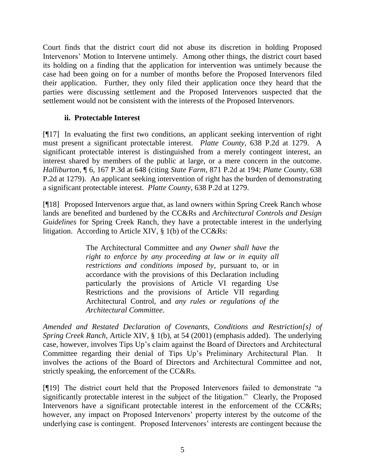Court finds that the district court did not abuse its discretion in holding Proposed Intervenors' Motion to Intervene untimely. Among other things, the district court based its holding on a finding that the application for intervention was untimely because the case had been going on for a number of months before the Proposed Intervenors filed their application. Further, they only filed their application once they heard that the parties were discussing settlement and the Proposed Intervenors suspected that the settlement would not be consistent with the interests of the Proposed Intervenors.

### **ii. Protectable Interest**

[¶17] In evaluating the first two conditions, an applicant seeking intervention of right must present a significant protectable interest. *Platte County*, 638 P.2d at 1279. A significant protectable interest is distinguished from a merely contingent interest, an interest shared by members of the public at large, or a mere concern in the outcome. *Halliburton*, ¶ 6, 167 P.3d at 648 (citing *State Farm*, 871 P.2d at 194; *Platte County*, 638 P.2d at 1279). An applicant seeking intervention of right has the burden of demonstrating a significant protectable interest. *Platte County*, 638 P.2d at 1279.

[¶18] Proposed Intervenors argue that, as land owners within Spring Creek Ranch whose lands are benefited and burdened by the CC&Rs and *Architectural Controls and Design Guidelines* for Spring Creek Ranch, they have a protectable interest in the underlying litigation. According to Article XIV, § 1(b) of the CC&Rs:

> The Architectural Committee and *any Owner shall have the right to enforce by any proceeding at law or in equity all restrictions and conditions imposed by*, pursuant to, or in accordance with the provisions of this Declaration including particularly the provisions of Article VI regarding Use Restrictions and the provisions of Article VII regarding Architectural Control, and *any rules or regulations of the Architectural Committee*.

*Amended and Restated Declaration of Covenants, Conditions and Restriction[s] of Spring Creek Ranch*, Article XIV, § 1(b), at 54 (2001) (emphasis added). The underlying case, however, involves Tips Up's claim against the Board of Directors and Architectural Committee regarding their denial of Tips Up's Preliminary Architectural Plan. It involves the actions of the Board of Directors and Architectural Committee and not, strictly speaking, the enforcement of the CC&Rs.

[¶19] The district court held that the Proposed Intervenors failed to demonstrate "a significantly protectable interest in the subject of the litigation." Clearly, the Proposed Intervenors have a significant protectable interest in the enforcement of the CC&Rs; however, any impact on Proposed Intervenors' property interest by the outcome of the underlying case is contingent. Proposed Intervenors' interests are contingent because the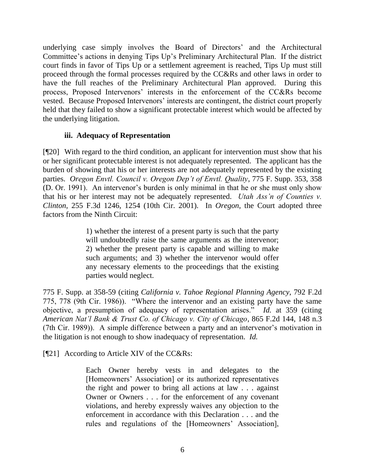underlying case simply involves the Board of Directors' and the Architectural Committee's actions in denying Tips Up's Preliminary Architectural Plan. If the district court finds in favor of Tips Up or a settlement agreement is reached, Tips Up must still proceed through the formal processes required by the CC&Rs and other laws in order to have the full reaches of the Preliminary Architectural Plan approved. During this process, Proposed Intervenors' interests in the enforcement of the CC&Rs become vested. Because Proposed Intervenors' interests are contingent, the district court properly held that they failed to show a significant protectable interest which would be affected by the underlying litigation.

### **iii. Adequacy of Representation**

[¶20] With regard to the third condition, an applicant for intervention must show that his or her significant protectable interest is not adequately represented. The applicant has the burden of showing that his or her interests are not adequately represented by the existing parties. *Oregon Envtl. Council v. Oregon Dep't of Envtl. Quality*, 775 F. Supp. 353, 358 (D. Or. 1991). An intervenor's burden is only minimal in that he or she must only show that his or her interest may not be adequately represented. *Utah Ass'n of Counties v. Clinton*, 255 F.3d 1246, 1254 (10th Cir. 2001). In *Oregon*, the Court adopted three factors from the Ninth Circuit:

> 1) whether the interest of a present party is such that the party will undoubtedly raise the same arguments as the intervenor; 2) whether the present party is capable and willing to make such arguments; and 3) whether the intervenor would offer any necessary elements to the proceedings that the existing parties would neglect.

775 F. Supp. at 358-59 (citing *California v. Tahoe Regional Planning Agency*, 792 F.2d 775, 778 (9th Cir. 1986)). "Where the intervenor and an existing party have the same objective, a presumption of adequacy of representation arises." *Id.* at 359 (citing *American Nat'l Bank & Trust Co. of Chicago v. City of Chicago*, 865 F.2d 144, 148 n.3 (7th Cir. 1989)). A simple difference between a party and an intervenor's motivation in the litigation is not enough to show inadequacy of representation. *Id.*

[¶21] According to Article XIV of the CC&Rs:

Each Owner hereby vests in and delegates to the [Homeowners' Association] or its authorized representatives the right and power to bring all actions at law . . . against Owner or Owners . . . for the enforcement of any covenant violations, and hereby expressly waives any objection to the enforcement in accordance with this Declaration . . . and the rules and regulations of the [Homeowners' Association],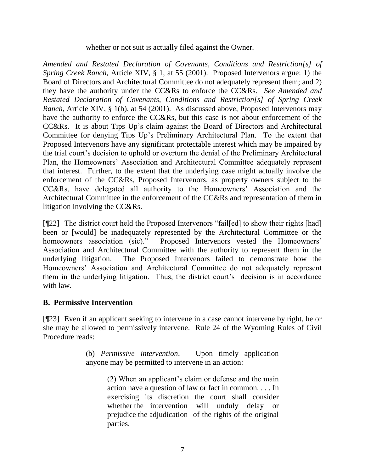whether or not suit is actually filed against the Owner.

*Amended and Restated Declaration of Covenants, Conditions and Restriction[s] of Spring Creek Ranch*, Article XIV, § 1, at 55 (2001). Proposed Intervenors argue: 1) the Board of Directors and Architectural Committee do not adequately represent them; and 2) they have the authority under the CC&Rs to enforce the CC&Rs. *See Amended and Restated Declaration of Covenants, Conditions and Restriction[s] of Spring Creek Ranch*, Article XIV, § 1(b), at 54 (2001). As discussed above, Proposed Intervenors may have the authority to enforce the CC&Rs, but this case is not about enforcement of the CC&Rs. It is about Tips Up's claim against the Board of Directors and Architectural Committee for denying Tips Up's Preliminary Architectural Plan. To the extent that Proposed Intervenors have any significant protectable interest which may be impaired by the trial court's decision to uphold or overturn the denial of the Preliminary Architectural Plan, the Homeowners' Association and Architectural Committee adequately represent that interest. Further, to the extent that the underlying case might actually involve the enforcement of the CC&Rs, Proposed Intervenors, as property owners subject to the CC&Rs, have delegated all authority to the Homeowners' Association and the Architectural Committee in the enforcement of the CC&Rs and representation of them in litigation involving the CC&Rs.

[¶22] The district court held the Proposed Intervenors "fail[ed] to show their rights [had] been or [would] be inadequately represented by the Architectural Committee or the homeowners association (sic)." Proposed Intervenors vested the Homeowners' Association and Architectural Committee with the authority to represent them in the underlying litigation. The Proposed Intervenors failed to demonstrate how the Homeowners' Association and Architectural Committee do not adequately represent them in the underlying litigation. Thus, the district court's decision is in accordance with law.

## **B. Permissive Intervention**

[¶23] Even if an applicant seeking to intervene in a case cannot intervene by right, he or she may be allowed to permissively intervene. Rule 24 of the Wyoming Rules of Civil Procedure reads:

> (b) *Permissive intervention*. – Upon timely application anyone may be permitted to intervene in an action:

> > (2) When an applicant's claim or defense and the main action have a question of law or fact in common. . . . In exercising its discretion the court shall consider whether the intervention will unduly delay or prejudice the adjudication of the rights of the original parties.